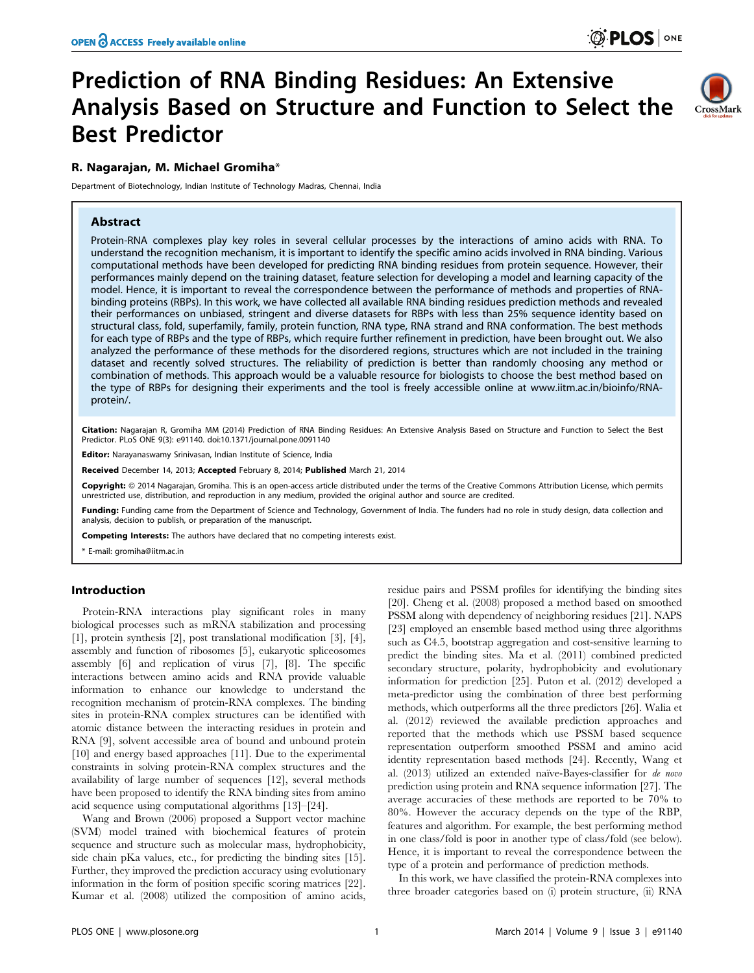# Prediction of RNA Binding Residues: An Extensive Analysis Based on Structure and Function to Select the Best Predictor



# R. Nagarajan, M. Michael Gromiha\*

Department of Biotechnology, Indian Institute of Technology Madras, Chennai, India

## Abstract

Protein-RNA complexes play key roles in several cellular processes by the interactions of amino acids with RNA. To understand the recognition mechanism, it is important to identify the specific amino acids involved in RNA binding. Various computational methods have been developed for predicting RNA binding residues from protein sequence. However, their performances mainly depend on the training dataset, feature selection for developing a model and learning capacity of the model. Hence, it is important to reveal the correspondence between the performance of methods and properties of RNAbinding proteins (RBPs). In this work, we have collected all available RNA binding residues prediction methods and revealed their performances on unbiased, stringent and diverse datasets for RBPs with less than 25% sequence identity based on structural class, fold, superfamily, family, protein function, RNA type, RNA strand and RNA conformation. The best methods for each type of RBPs and the type of RBPs, which require further refinement in prediction, have been brought out. We also analyzed the performance of these methods for the disordered regions, structures which are not included in the training dataset and recently solved structures. The reliability of prediction is better than randomly choosing any method or combination of methods. This approach would be a valuable resource for biologists to choose the best method based on the type of RBPs for designing their experiments and the tool is freely accessible online at [www.iitm.ac.in/bioinfo/RNA](www.iitm.ac.in/bioinfo/RNA-protein/)[protein/](www.iitm.ac.in/bioinfo/RNA-protein/).

Citation: Nagarajan R, Gromiha MM (2014) Prediction of RNA Binding Residues: An Extensive Analysis Based on Structure and Function to Select the Best Predictor. PLoS ONE 9(3): e91140. doi:10.1371/journal.pone.0091140

Editor: Narayanaswamy Srinivasan, Indian Institute of Science, India

Received December 14, 2013; Accepted February 8, 2014; Published March 21, 2014

Copyright: © 2014 Nagarajan, Gromiha. This is an open-access article distributed under the terms of the [Creative Commons Attribution License,](http://creativecommons.org/licenses/by/4.0/) which permits unrestricted use, distribution, and reproduction in any medium, provided the original author and source are credited.

Funding: Funding came from the Department of Science and Technology, Government of India. The funders had no role in study design, data collection and analysis, decision to publish, or preparation of the manuscript.

Competing Interests: The authors have declared that no competing interests exist.

\* E-mail: gromiha@iitm.ac.in

## Introduction

Protein-RNA interactions play significant roles in many biological processes such as mRNA stabilization and processing [1], protein synthesis [2], post translational modification [3], [4], assembly and function of ribosomes [5], eukaryotic spliceosomes assembly [6] and replication of virus [7], [8]. The specific interactions between amino acids and RNA provide valuable information to enhance our knowledge to understand the recognition mechanism of protein-RNA complexes. The binding sites in protein-RNA complex structures can be identified with atomic distance between the interacting residues in protein and RNA [9], solvent accessible area of bound and unbound protein [10] and energy based approaches [11]. Due to the experimental constraints in solving protein-RNA complex structures and the availability of large number of sequences [12], several methods have been proposed to identify the RNA binding sites from amino acid sequence using computational algorithms [13]–[24].

Wang and Brown (2006) proposed a Support vector machine (SVM) model trained with biochemical features of protein sequence and structure such as molecular mass, hydrophobicity, side chain pKa values, etc., for predicting the binding sites [15]. Further, they improved the prediction accuracy using evolutionary information in the form of position specific scoring matrices [22]. Kumar et al. (2008) utilized the composition of amino acids,

residue pairs and PSSM profiles for identifying the binding sites [20]. Cheng et al. (2008) proposed a method based on smoothed PSSM along with dependency of neighboring residues [21]. NAPS [23] employed an ensemble based method using three algorithms such as C4.5, bootstrap aggregation and cost-sensitive learning to predict the binding sites. Ma et al. (2011) combined predicted secondary structure, polarity, hydrophobicity and evolutionary information for prediction [25]. Puton et al. (2012) developed a meta-predictor using the combination of three best performing methods, which outperforms all the three predictors [26]. Walia et al. (2012) reviewed the available prediction approaches and reported that the methods which use PSSM based sequence representation outperform smoothed PSSM and amino acid identity representation based methods [24]. Recently, Wang et al.  $(2013)$  utilized an extended naïve-Bayes-classifier for *de novo* prediction using protein and RNA sequence information [27]. The average accuracies of these methods are reported to be 70% to 80%. However the accuracy depends on the type of the RBP, features and algorithm. For example, the best performing method in one class/fold is poor in another type of class/fold (see below). Hence, it is important to reveal the correspondence between the type of a protein and performance of prediction methods.

In this work, we have classified the protein-RNA complexes into three broader categories based on (i) protein structure, (ii) RNA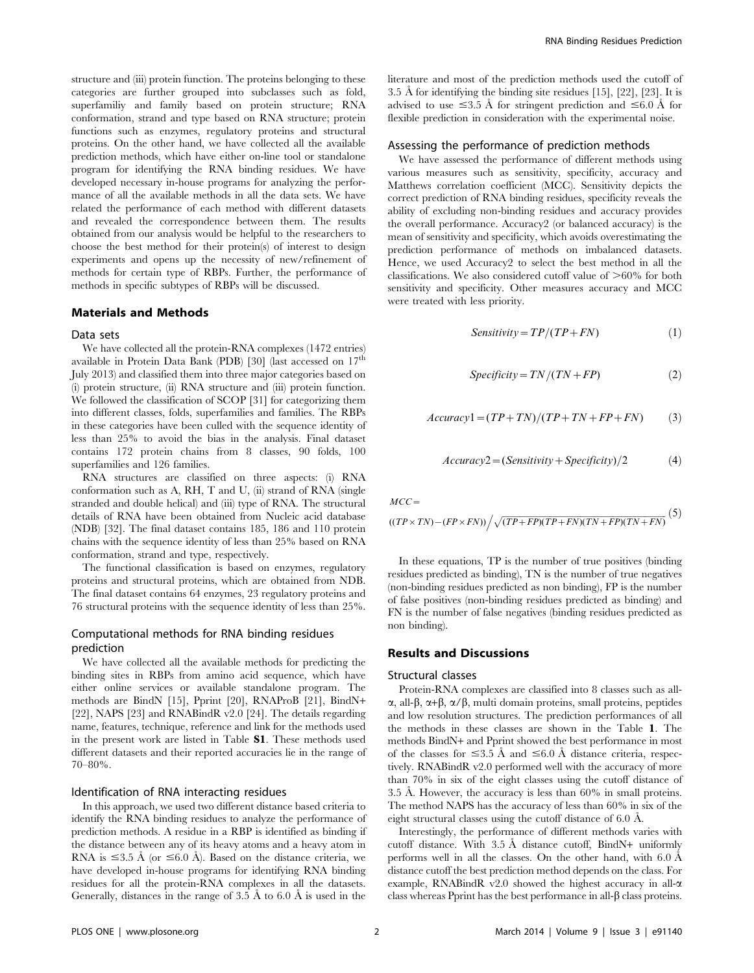structure and (iii) protein function. The proteins belonging to these categories are further grouped into subclasses such as fold, superfamiliy and family based on protein structure; RNA conformation, strand and type based on RNA structure; protein functions such as enzymes, regulatory proteins and structural proteins. On the other hand, we have collected all the available prediction methods, which have either on-line tool or standalone program for identifying the RNA binding residues. We have developed necessary in-house programs for analyzing the performance of all the available methods in all the data sets. We have related the performance of each method with different datasets and revealed the correspondence between them. The results obtained from our analysis would be helpful to the researchers to choose the best method for their protein(s) of interest to design experiments and opens up the necessity of new/refinement of methods for certain type of RBPs. Further, the performance of methods in specific subtypes of RBPs will be discussed.

## Materials and Methods

#### Data sets

We have collected all the protein-RNA complexes (1472 entries) available in Protein Data Bank (PDB) [30] (last accessed on  $17<sup>th</sup>$ July 2013) and classified them into three major categories based on (i) protein structure, (ii) RNA structure and (iii) protein function. We followed the classification of SCOP [31] for categorizing them into different classes, folds, superfamilies and families. The RBPs in these categories have been culled with the sequence identity of less than 25% to avoid the bias in the analysis. Final dataset contains 172 protein chains from 8 classes, 90 folds, 100 superfamilies and 126 families.

RNA structures are classified on three aspects: (i) RNA conformation such as A, RH, T and U, (ii) strand of RNA (single stranded and double helical) and (iii) type of RNA. The structural details of RNA have been obtained from Nucleic acid database (NDB) [32]. The final dataset contains 185, 186 and 110 protein chains with the sequence identity of less than 25% based on RNA conformation, strand and type, respectively.

The functional classification is based on enzymes, regulatory proteins and structural proteins, which are obtained from NDB. The final dataset contains 64 enzymes, 23 regulatory proteins and 76 structural proteins with the sequence identity of less than 25%.

## Computational methods for RNA binding residues prediction

We have collected all the available methods for predicting the binding sites in RBPs from amino acid sequence, which have either online services or available standalone program. The methods are BindN [15], Pprint [20], RNAProB [21], BindN+ [22], NAPS [23] and RNABindR v2.0 [24]. The details regarding name, features, technique, reference and link for the methods used in the present work are listed in Table S1. These methods used different datasets and their reported accuracies lie in the range of 70–80%.

#### Identification of RNA interacting residues

In this approach, we used two different distance based criteria to identify the RNA binding residues to analyze the performance of prediction methods. A residue in a RBP is identified as binding if the distance between any of its heavy atoms and a heavy atom in RNA is  $\leq$ 3.5 Å (or  $\leq$ 6.0 Å). Based on the distance criteria, we have developed in-house programs for identifying RNA binding residues for all the protein-RNA complexes in all the datasets. Generally, distances in the range of 3.5  $\AA$  to 6.0  $\AA$  is used in the literature and most of the prediction methods used the cutoff of 3.5 Å for identifying the binding site residues  $[15]$ ,  $[22]$ ,  $[23]$ . It is advised to use  $\leq 3.5$  Å for stringent prediction and  $\leq 6.0$  Å for flexible prediction in consideration with the experimental noise.

## Assessing the performance of prediction methods

We have assessed the performance of different methods using various measures such as sensitivity, specificity, accuracy and Matthews correlation coefficient (MCC). Sensitivity depicts the correct prediction of RNA binding residues, specificity reveals the ability of excluding non-binding residues and accuracy provides the overall performance. Accuracy2 (or balanced accuracy) is the mean of sensitivity and specificity, which avoids overestimating the prediction performance of methods on imbalanced datasets. Hence, we used Accuracy2 to select the best method in all the classifications. We also considered cutoff value of  $>60\%$  for both sensitivity and specificity. Other measures accuracy and MCC were treated with less priority.

$$
Sensitivity = TP/(TP + FN)
$$
 (1)

$$
Specificity = TN/(TN + FP)
$$
 (2)

$$
Accuracy1 = (TP + TN)/(TP + TN + FP + FN)
$$
 (3)

$$
Accuracy2 = (Sensitivity + Specificity)/2 \tag{4}
$$

 $MCC=$ 

$$
((TP \times TN) - (FP \times FN)) / \sqrt{(TP + FP)(TP + FN)(TN + FP)(TN + FN)}
$$
(5)

In these equations, TP is the number of true positives (binding residues predicted as binding), TN is the number of true negatives (non-binding residues predicted as non binding), FP is the number of false positives (non-binding residues predicted as binding) and FN is the number of false negatives (binding residues predicted as non binding).

## Results and Discussions

## Structural classes

Protein-RNA complexes are classified into 8 classes such as all- $\alpha$ , all- $\beta$ ,  $\alpha+\beta$ ,  $\alpha/\beta$ , multi domain proteins, small proteins, peptides and low resolution structures. The prediction performances of all the methods in these classes are shown in the Table 1. The methods BindN+ and Pprint showed the best performance in most of the classes for  $\leq 3.5$  Å and  $\leq 6.0$  Å distance criteria, respectively. RNABindR v2.0 performed well with the accuracy of more than 70% in six of the eight classes using the cutoff distance of 3.5 Å. However, the accuracy is less than  $60\%$  in small proteins. The method NAPS has the accuracy of less than 60% in six of the eight structural classes using the cutoff distance of  $6.0 \text{ Å}$ .

Interestingly, the performance of different methods varies with cutoff distance. With 3.5 Å distance cutoff, BindN+ uniformly performs well in all the classes. On the other hand, with  $6.0 \text{ Å}$ distance cutoff the best prediction method depends on the class. For example, RNABindR v2.0 showed the highest accuracy in all- $\alpha$ class whereas Pprint has the best performance in all- $\beta$  class proteins.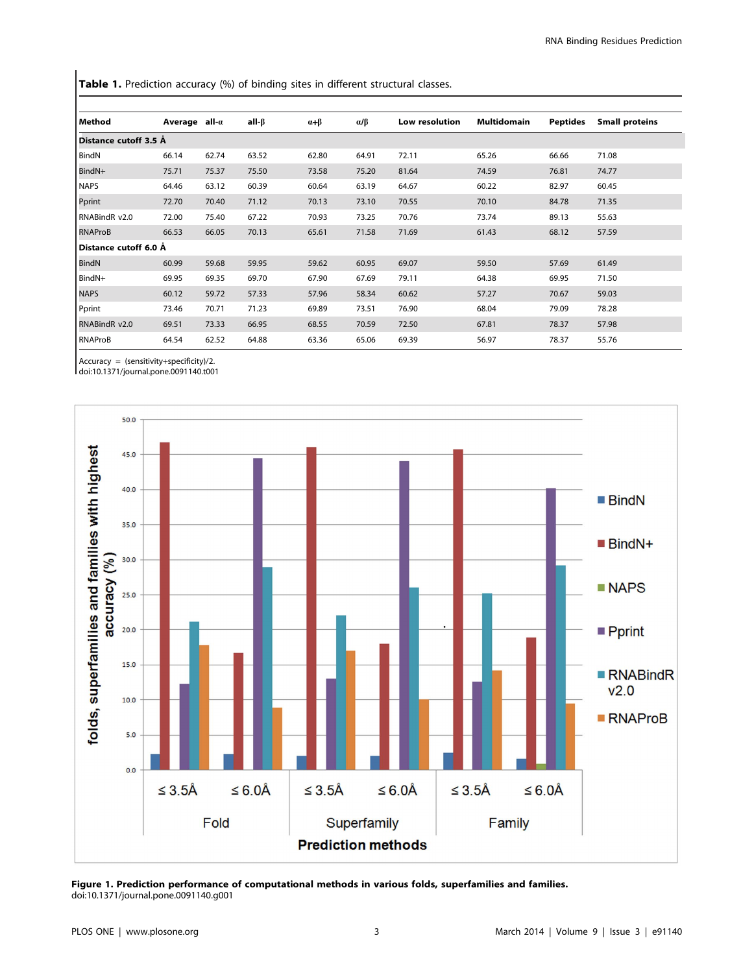Table 1. Prediction accuracy (%) of binding sites in different structural classes.

| Method                  | Average all- $\alpha$ |       | all-β | $\alpha + \beta$ | $\alpha/\beta$ | Low resolution | Multidomain | <b>Peptides</b> | <b>Small proteins</b> |
|-------------------------|-----------------------|-------|-------|------------------|----------------|----------------|-------------|-----------------|-----------------------|
| Distance cutoff 3.5 Å   |                       |       |       |                  |                |                |             |                 |                       |
| BindN                   | 66.14                 | 62.74 | 63.52 | 62.80            | 64.91          | 72.11          | 65.26       | 66.66           | 71.08                 |
| BindN+                  | 75.71                 | 75.37 | 75.50 | 73.58            | 75.20          | 81.64          | 74.59       | 76.81           | 74.77                 |
| <b>NAPS</b>             | 64.46                 | 63.12 | 60.39 | 60.64            | 63.19          | 64.67          | 60.22       | 82.97           | 60.45                 |
| Pprint                  | 72.70                 | 70.40 | 71.12 | 70.13            | 73.10          | 70.55          | 70.10       | 84.78           | 71.35                 |
| RNABindR v2.0           | 72.00                 | 75.40 | 67.22 | 70.93            | 73.25          | 70.76          | 73.74       | 89.13           | 55.63                 |
| RNAProB                 | 66.53                 | 66.05 | 70.13 | 65.61            | 71.58          | 71.69          | 61.43       | 68.12           | 57.59                 |
| l Distance cutoff 6.0 Å |                       |       |       |                  |                |                |             |                 |                       |
| BindN                   | 60.99                 | 59.68 | 59.95 | 59.62            | 60.95          | 69.07          | 59.50       | 57.69           | 61.49                 |
| BindN+                  | 69.95                 | 69.35 | 69.70 | 67.90            | 67.69          | 79.11          | 64.38       | 69.95           | 71.50                 |
| <b>NAPS</b>             | 60.12                 | 59.72 | 57.33 | 57.96            | 58.34          | 60.62          | 57.27       | 70.67           | 59.03                 |
| Pprint                  | 73.46                 | 70.71 | 71.23 | 69.89            | 73.51          | 76.90          | 68.04       | 79.09           | 78.28                 |
| RNABindR v2.0           | 69.51                 | 73.33 | 66.95 | 68.55            | 70.59          | 72.50          | 67.81       | 78.37           | 57.98                 |
| RNAProB                 | 64.54                 | 62.52 | 64.88 | 63.36            | 65.06          | 69.39          | 56.97       | 78.37           | 55.76                 |
|                         |                       |       |       |                  |                |                |             |                 |                       |

Accuracy = (sensitivity+specificity)/2.

doi:10.1371/journal.pone.0091140.t001



Figure 1. Prediction performance of computational methods in various folds, superfamilies and families. doi:10.1371/journal.pone.0091140.g001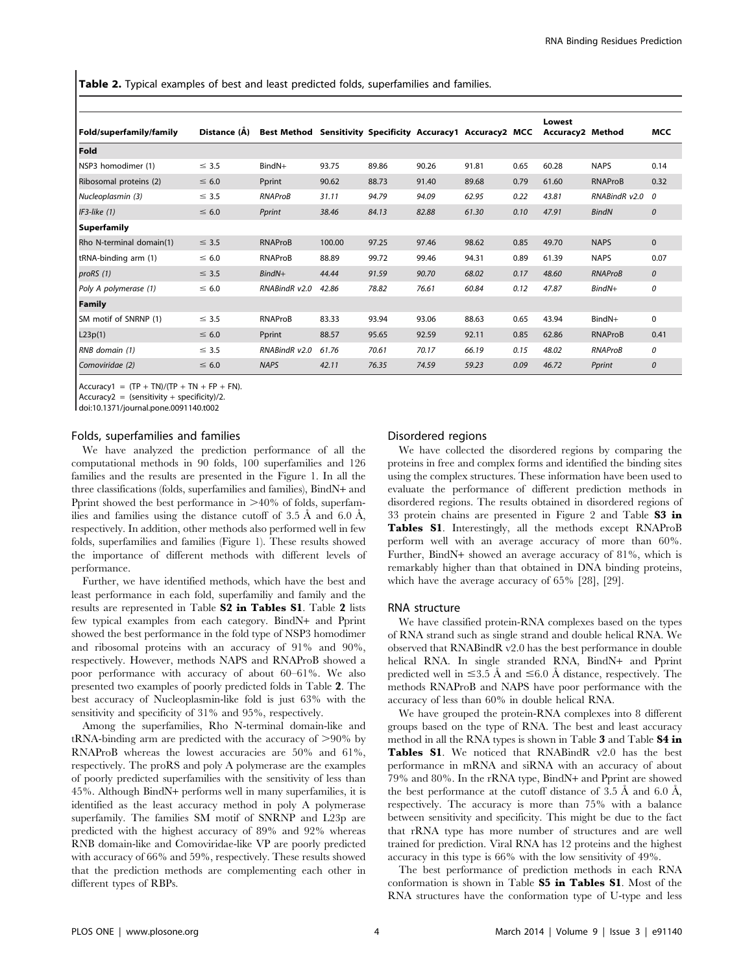Table 2. Typical examples of best and least predicted folds, superfamilies and families.

|                          |              |                                                             |        |       |       |       |      | Lowest                  |                |               |
|--------------------------|--------------|-------------------------------------------------------------|--------|-------|-------|-------|------|-------------------------|----------------|---------------|
| Fold/superfamily/family  | Distance (A) | Best Method Sensitivity Specificity Accuracy1 Accuracy2 MCC |        |       |       |       |      | <b>Accuracy2 Method</b> |                | <b>MCC</b>    |
| Fold                     |              |                                                             |        |       |       |       |      |                         |                |               |
| NSP3 homodimer (1)       | $\leq$ 3.5   | $BindN+$                                                    | 93.75  | 89.86 | 90.26 | 91.81 | 0.65 | 60.28                   | <b>NAPS</b>    | 0.14          |
| Ribosomal proteins (2)   | $\leq 6.0$   | Pprint                                                      | 90.62  | 88.73 | 91.40 | 89.68 | 0.79 | 61.60                   | <b>RNAProB</b> | 0.32          |
| Nucleoplasmin (3)        | $\leq$ 3.5   | RNAProB                                                     | 31.11  | 94.79 | 94.09 | 62.95 | 0.22 | 43.81                   | RNABindR v2.0  | $\theta$      |
| $IF3$ -like $(1)$        | $\leq 6.0$   | Pprint                                                      | 38.46  | 84.13 | 82.88 | 61.30 | 0.10 | 47.91                   | <b>BindN</b>   | $\mathcal{O}$ |
| Superfamily              |              |                                                             |        |       |       |       |      |                         |                |               |
| Rho N-terminal domain(1) | $\leq$ 3.5   | <b>RNAProB</b>                                              | 100.00 | 97.25 | 97.46 | 98.62 | 0.85 | 49.70                   | <b>NAPS</b>    | $\mathbf{0}$  |
| tRNA-binding arm (1)     | $\leq 6.0$   | RNAProB                                                     | 88.89  | 99.72 | 99.46 | 94.31 | 0.89 | 61.39                   | <b>NAPS</b>    | 0.07          |
| proRS(1)                 | $\leq$ 3.5   | $BindN+$                                                    | 44.44  | 91.59 | 90.70 | 68.02 | 0.17 | 48.60                   | RNAProB        | $\mathcal{O}$ |
| Poly A polymerase (1)    | $\leq 6.0$   | RNABindR v2.0                                               | 42.86  | 78.82 | 76.61 | 60.84 | 0.12 | 47.87                   | $BindN+$       | 0             |
| Family                   |              |                                                             |        |       |       |       |      |                         |                |               |
| SM motif of SNRNP (1)    | $\leq$ 3.5   | RNAProB                                                     | 83.33  | 93.94 | 93.06 | 88.63 | 0.65 | 43.94                   | BindN+         | $\mathbf 0$   |
| L23p(1)                  | $\leq 6.0$   | Pprint                                                      | 88.57  | 95.65 | 92.59 | 92.11 | 0.85 | 62.86                   | <b>RNAProB</b> | 0.41          |
| RNB domain (1)           | $\leq$ 3.5   | RNABindR v2.0                                               | 61.76  | 70.61 | 70.17 | 66.19 | 0.15 | 48.02                   | <b>RNAProB</b> | 0             |
| Comoviridae (2)          | $\leq 6.0$   | <b>NAPS</b>                                                 | 42.11  | 76.35 | 74.59 | 59.23 | 0.09 | 46.72                   | Pprint         | $\mathcal{O}$ |

 $ACcuracy1 = (TP + TN)/(TP + TN + FP + FN)$ .

 $Accuracy2 = (sensitivity + specificity)/2.$ 

doi:10.1371/journal.pone.0091140.t002

#### Folds, superfamilies and families

We have analyzed the prediction performance of all the computational methods in 90 folds, 100 superfamilies and 126 families and the results are presented in the Figure 1. In all the three classifications (folds, superfamilies and families), BindN+ and Pprint showed the best performance in  $>40\%$  of folds, superfamilies and families using the distance cutoff of  $3.5 \text{ Å}$  and  $6.0 \text{ Å}$ , respectively. In addition, other methods also performed well in few folds, superfamilies and families (Figure 1). These results showed the importance of different methods with different levels of performance.

Further, we have identified methods, which have the best and least performance in each fold, superfamiliy and family and the results are represented in Table S2 in Tables S1. Table 2 lists few typical examples from each category. BindN+ and Pprint showed the best performance in the fold type of NSP3 homodimer and ribosomal proteins with an accuracy of 91% and 90%, respectively. However, methods NAPS and RNAProB showed a poor performance with accuracy of about 60–61%. We also presented two examples of poorly predicted folds in Table 2. The best accuracy of Nucleoplasmin-like fold is just 63% with the sensitivity and specificity of 31% and 95%, respectively.

Among the superfamilies, Rho N-terminal domain-like and  $tRNA$ -binding arm are predicted with the accuracy of  $>90\%$  by RNAProB whereas the lowest accuracies are 50% and 61%, respectively. The proRS and poly A polymerase are the examples of poorly predicted superfamilies with the sensitivity of less than 45%. Although BindN+ performs well in many superfamilies, it is identified as the least accuracy method in poly A polymerase superfamily. The families SM motif of SNRNP and L23p are predicted with the highest accuracy of 89% and 92% whereas RNB domain-like and Comoviridae-like VP are poorly predicted with accuracy of 66% and 59%, respectively. These results showed that the prediction methods are complementing each other in different types of RBPs.

## Disordered regions

We have collected the disordered regions by comparing the proteins in free and complex forms and identified the binding sites using the complex structures. These information have been used to evaluate the performance of different prediction methods in disordered regions. The results obtained in disordered regions of 33 protein chains are presented in Figure 2 and Table S3 in Tables S1. Interestingly, all the methods except RNAProB perform well with an average accuracy of more than 60%. Further, BindN+ showed an average accuracy of 81%, which is remarkably higher than that obtained in DNA binding proteins, which have the average accuracy of 65% [28], [29].

#### RNA structure

We have classified protein-RNA complexes based on the types of RNA strand such as single strand and double helical RNA. We observed that RNABindR v2.0 has the best performance in double helical RNA. In single stranded RNA, BindN+ and Pprint predicted well in  $\leq 3.5$  Å and  $\leq 6.0$  Å distance, respectively. The methods RNAProB and NAPS have poor performance with the accuracy of less than 60% in double helical RNA.

We have grouped the protein-RNA complexes into 8 different groups based on the type of RNA. The best and least accuracy method in all the RNA types is shown in Table 3 and Table S4 in Tables S1. We noticed that RNABindR v2.0 has the best performance in mRNA and siRNA with an accuracy of about 79% and 80%. In the rRNA type, BindN+ and Pprint are showed the best performance at the cutoff distance of  $3.5 \text{ Å}$  and  $6.0 \text{ Å}$ , respectively. The accuracy is more than 75% with a balance between sensitivity and specificity. This might be due to the fact that rRNA type has more number of structures and are well trained for prediction. Viral RNA has 12 proteins and the highest accuracy in this type is 66% with the low sensitivity of 49%.

The best performance of prediction methods in each RNA conformation is shown in Table S5 in Tables S1. Most of the RNA structures have the conformation type of U-type and less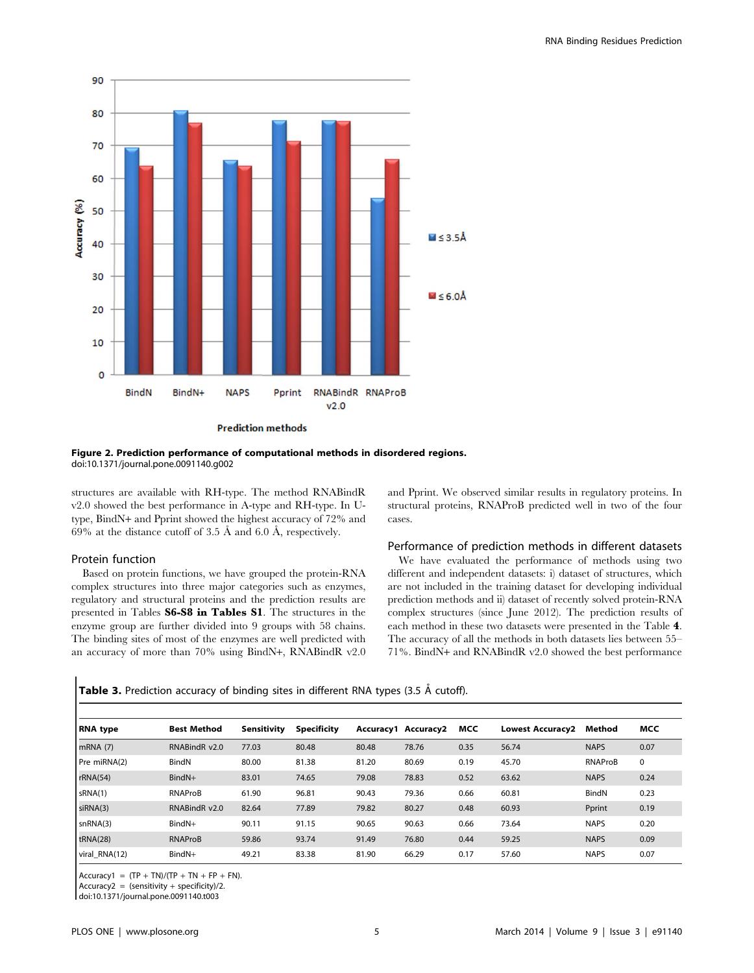

**Prediction methods** 

Figure 2. Prediction performance of computational methods in disordered regions. doi:10.1371/journal.pone.0091140.g002

structures are available with RH-type. The method RNABindR v2.0 showed the best performance in A-type and RH-type. In Utype, BindN+ and Pprint showed the highest accuracy of 72% and 69% at the distance cutoff of 3.5 Å and 6.0 Å, respectively.

## Protein function

Based on protein functions, we have grouped the protein-RNA complex structures into three major categories such as enzymes, regulatory and structural proteins and the prediction results are presented in Tables S6-S8 in Tables S1. The structures in the enzyme group are further divided into 9 groups with 58 chains. The binding sites of most of the enzymes are well predicted with an accuracy of more than 70% using BindN+, RNABindR v2.0 and Pprint. We observed similar results in regulatory proteins. In structural proteins, RNAProB predicted well in two of the four cases.

#### Performance of prediction methods in different datasets

We have evaluated the performance of methods using two different and independent datasets: i) dataset of structures, which are not included in the training dataset for developing individual prediction methods and ii) dataset of recently solved protein-RNA complex structures (since June 2012). The prediction results of each method in these two datasets were presented in the Table 4. The accuracy of all the methods in both datasets lies between 55– 71%. BindN+ and RNABindR v2.0 showed the best performance

| Table 3. Prediction accuracy of binding sites in different RNA types (3.5 Å cutoff). |  |  |  |
|--------------------------------------------------------------------------------------|--|--|--|
|                                                                                      |  |  |  |

| <b>RNA</b> type | <b>Best Method</b> | Sensitivity | <b>Specificity</b> |       | Accuracy1 Accuracy2 | MCC  | <b>Lowest Accuracy2</b> | Method      | MCC         |
|-----------------|--------------------|-------------|--------------------|-------|---------------------|------|-------------------------|-------------|-------------|
| mRNA(7)         | RNABindR v2.0      | 77.03       | 80.48              | 80.48 | 78.76               | 0.35 | 56.74                   | <b>NAPS</b> | 0.07        |
| Pre miRNA(2)    | BindN              | 80.00       | 81.38              | 81.20 | 80.69               | 0.19 | 45.70                   | RNAProB     | $\mathbf 0$ |
| rRNA(54)        | BindN+             | 83.01       | 74.65              | 79.08 | 78.83               | 0.52 | 63.62                   | <b>NAPS</b> | 0.24        |
| sRNA(1)         | RNAProB            | 61.90       | 96.81              | 90.43 | 79.36               | 0.66 | 60.81                   | BindN       | 0.23        |
| siRNA(3)        | RNABindR v2.0      | 82.64       | 77.89              | 79.82 | 80.27               | 0.48 | 60.93                   | Pprint      | 0.19        |
| snRNA(3)        | BindN+             | 90.11       | 91.15              | 90.65 | 90.63               | 0.66 | 73.64                   | <b>NAPS</b> | 0.20        |
| tRNA(28)        | <b>RNAProB</b>     | 59.86       | 93.74              | 91.49 | 76.80               | 0.44 | 59.25                   | <b>NAPS</b> | 0.09        |
| viral_RNA(12)   | BindN+             | 49.21       | 83.38              | 81.90 | 66.29               | 0.17 | 57.60                   | <b>NAPS</b> | 0.07        |

Accuracy1 =  $(TP + TN)/(TP + TN + FP + FN)$ .

 $Accuracy2 = (sensitivity + specificity)/2.$ 

doi:10.1371/journal.pone.0091140.t003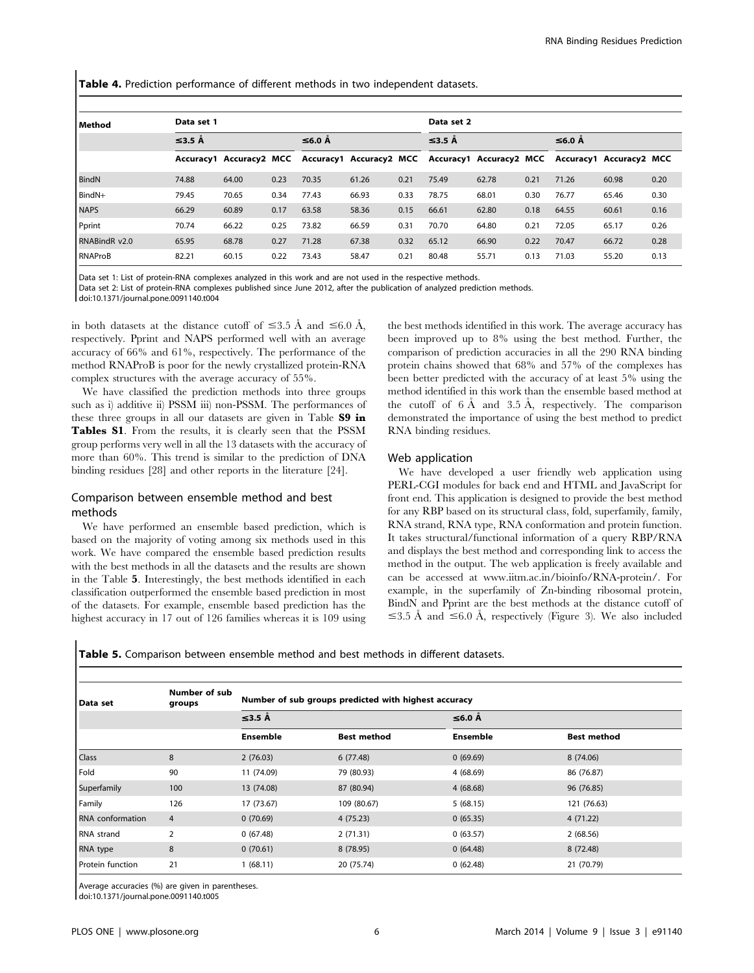Table 4. Prediction performance of different methods in two independent datasets.

| l Method       | Data set 1   |       |      |        |       |      | Data set 2                                                                                      |       |      |        |       |      |
|----------------|--------------|-------|------|--------|-------|------|-------------------------------------------------------------------------------------------------|-------|------|--------|-------|------|
|                | $\leq$ 3.5 Å |       |      | ≤6.0 Å |       |      | $\leq$ 3.5 Å                                                                                    |       |      | ≤6.0 Å |       |      |
|                |              |       |      |        |       |      | Accuracy1 Accuracy2 MCC Accuracy1 Accuracy2 MCC Accuracy1 Accuracy2 MCC Accuracy1 Accuracy2 MCC |       |      |        |       |      |
| BindN          | 74.88        | 64.00 | 0.23 | 70.35  | 61.26 | 0.21 | 75.49                                                                                           | 62.78 | 0.21 | 71.26  | 60.98 | 0.20 |
| BindN+         | 79.45        | 70.65 | 0.34 | 77.43  | 66.93 | 0.33 | 78.75                                                                                           | 68.01 | 0.30 | 76.77  | 65.46 | 0.30 |
| <b>NAPS</b>    | 66.29        | 60.89 | 0.17 | 63.58  | 58.36 | 0.15 | 66.61                                                                                           | 62.80 | 0.18 | 64.55  | 60.61 | 0.16 |
| Pprint         | 70.74        | 66.22 | 0.25 | 73.82  | 66.59 | 0.31 | 70.70                                                                                           | 64.80 | 0.21 | 72.05  | 65.17 | 0.26 |
| RNABindR v2.0  | 65.95        | 68.78 | 0.27 | 71.28  | 67.38 | 0.32 | 65.12                                                                                           | 66.90 | 0.22 | 70.47  | 66.72 | 0.28 |
| <b>RNAProB</b> | 82.21        | 60.15 | 0.22 | 73.43  | 58.47 | 0.21 | 80.48                                                                                           | 55.71 | 0.13 | 71.03  | 55.20 | 0.13 |

Data set 1: List of protein-RNA complexes analyzed in this work and are not used in the respective methods.

Data set 2: List of protein-RNA complexes published since June 2012, after the publication of analyzed prediction methods.

doi:10.1371/journal.pone.0091140.t004

in both datasets at the distance cutoff of  $\leq 3.5$  Å and  $\leq 6.0$  Å, respectively. Pprint and NAPS performed well with an average accuracy of 66% and 61%, respectively. The performance of the method RNAProB is poor for the newly crystallized protein-RNA complex structures with the average accuracy of 55%.

We have classified the prediction methods into three groups such as i) additive ii) PSSM iii) non-PSSM. The performances of these three groups in all our datasets are given in Table S9 in Tables S1. From the results, it is clearly seen that the PSSM group performs very well in all the 13 datasets with the accuracy of more than 60%. This trend is similar to the prediction of DNA binding residues [28] and other reports in the literature [24].

# Comparison between ensemble method and best methods

We have performed an ensemble based prediction, which is based on the majority of voting among six methods used in this work. We have compared the ensemble based prediction results with the best methods in all the datasets and the results are shown in the Table 5. Interestingly, the best methods identified in each classification outperformed the ensemble based prediction in most of the datasets. For example, ensemble based prediction has the highest accuracy in 17 out of 126 families whereas it is 109 using the best methods identified in this work. The average accuracy has been improved up to 8% using the best method. Further, the comparison of prediction accuracies in all the 290 RNA binding protein chains showed that 68% and 57% of the complexes has been better predicted with the accuracy of at least 5% using the method identified in this work than the ensemble based method at the cutoff of  $6 \text{ Å}$  and  $3.5 \text{ Å}$ , respectively. The comparison demonstrated the importance of using the best method to predict RNA binding residues.

## Web application

We have developed a user friendly web application using PERL-CGI modules for back end and HTML and JavaScript for front end. This application is designed to provide the best method for any RBP based on its structural class, fold, superfamily, family, RNA strand, RNA type, RNA conformation and protein function. It takes structural/functional information of a query RBP/RNA and displays the best method and corresponding link to access the method in the output. The web application is freely available and can be accessed at [www.iitm.ac.in/bioinfo/RNA-protein/.](www.iitm.ac.in/bioinfo/RNA-protein/) For example, in the superfamily of Zn-binding ribosomal protein, BindN and Pprint are the best methods at the distance cutoff of  $\leq$ 3.5 Å and  $\leq$ 6.0 Å, respectively (Figure 3). We also included

Table 5. Comparison between ensemble method and best methods in different datasets.

| Data set                | Number of sub<br>groups | Number of sub groups predicted with highest accuracy |                    |                 |                    |  |  |  |  |
|-------------------------|-------------------------|------------------------------------------------------|--------------------|-----------------|--------------------|--|--|--|--|
|                         |                         | $\leq$ 3.5 Å                                         |                    | ≤6.0 Å          |                    |  |  |  |  |
|                         |                         | <b>Ensemble</b>                                      | <b>Best method</b> | <b>Ensemble</b> | <b>Best method</b> |  |  |  |  |
| <b>Class</b>            | 8                       | 2(76.03)                                             | 6(77.48)           | 0(69.69)        | 8 (74.06)          |  |  |  |  |
| Fold                    | 90                      | 11 (74.09)                                           | 79 (80.93)         | 4(68.69)        | 86 (76.87)         |  |  |  |  |
| Superfamily             | 100                     | 13 (74.08)                                           | 87 (80.94)         | 4(68.68)        | 96 (76.85)         |  |  |  |  |
| Family                  | 126                     | 17 (73.67)                                           | 109 (80.67)        | 5(68.15)        | 121 (76.63)        |  |  |  |  |
| <b>RNA</b> conformation | $\overline{4}$          | 0(70.69)                                             | 4 (75.23)          | 0(65.35)        | 4 (71.22)          |  |  |  |  |
| RNA strand              | $\overline{2}$          | 0(67.48)                                             | 2(71.31)           | 0(63.57)        | 2(68.56)           |  |  |  |  |
| RNA type                | 8                       | 0(70.61)                                             | 8 (78.95)          | 0(64.48)        | 8 (72.48)          |  |  |  |  |
| Protein function        | 21                      | 1(68.11)                                             | 20 (75.74)         | 0(62.48)        | 21 (70.79)         |  |  |  |  |

Average accuracies (%) are given in parentheses.

doi:10.1371/journal.pone.0091140.t005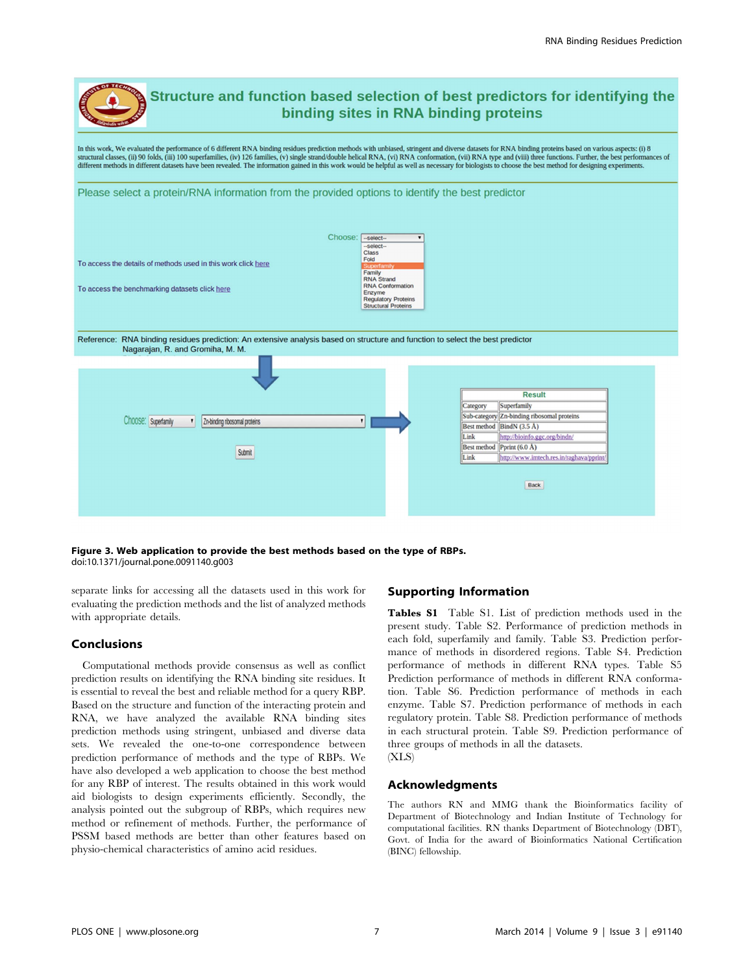

Figure 3. Web application to provide the best methods based on the type of RBPs. doi:10.1371/journal.pone.0091140.g003

separate links for accessing all the datasets used in this work for evaluating the prediction methods and the list of analyzed methods with appropriate details.

## Conclusions

Computational methods provide consensus as well as conflict prediction results on identifying the RNA binding site residues. It is essential to reveal the best and reliable method for a query RBP. Based on the structure and function of the interacting protein and RNA, we have analyzed the available RNA binding sites prediction methods using stringent, unbiased and diverse data sets. We revealed the one-to-one correspondence between prediction performance of methods and the type of RBPs. We have also developed a web application to choose the best method for any RBP of interest. The results obtained in this work would aid biologists to design experiments efficiently. Secondly, the analysis pointed out the subgroup of RBPs, which requires new method or refinement of methods. Further, the performance of PSSM based methods are better than other features based on physio-chemical characteristics of amino acid residues.

# Supporting Information

Tables S1 Table S1. List of prediction methods used in the present study. Table S2. Performance of prediction methods in each fold, superfamily and family. Table S3. Prediction performance of methods in disordered regions. Table S4. Prediction performance of methods in different RNA types. Table S5 Prediction performance of methods in different RNA conformation. Table S6. Prediction performance of methods in each enzyme. Table S7. Prediction performance of methods in each regulatory protein. Table S8. Prediction performance of methods in each structural protein. Table S9. Prediction performance of three groups of methods in all the datasets. (XLS)

#### Acknowledgments

The authors RN and MMG thank the Bioinformatics facility of Department of Biotechnology and Indian Institute of Technology for computational facilities. RN thanks Department of Biotechnology (DBT), Govt. of India for the award of Bioinformatics National Certification (BINC) fellowship.